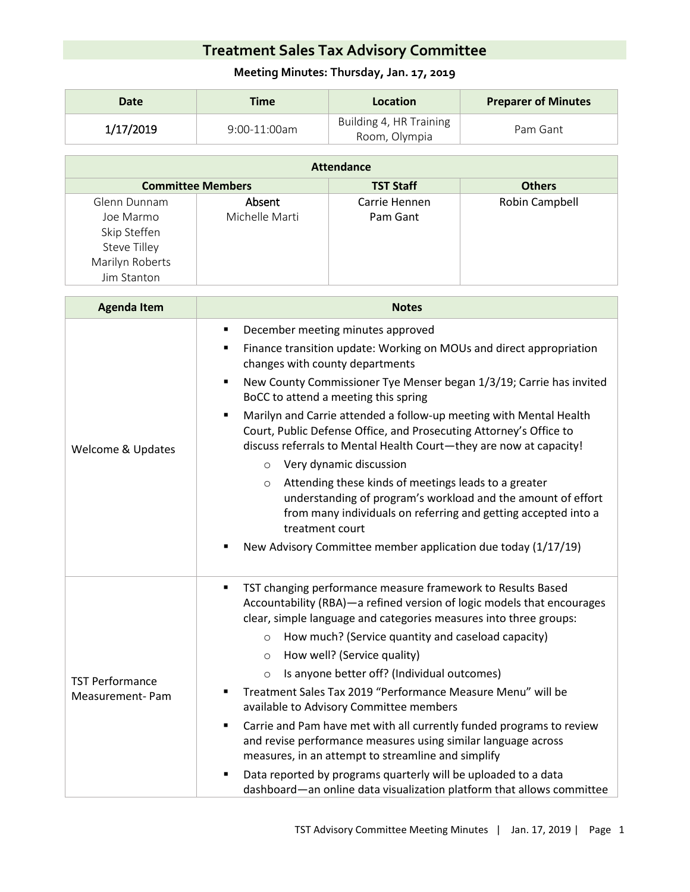## **Treatment Sales Tax Advisory Committee**

## **Meeting Minutes: Thursday, Jan. 17, 2019**

| Date      | Time            | Location                                 | <b>Preparer of Minutes</b> |
|-----------|-----------------|------------------------------------------|----------------------------|
| 1/17/2019 | $9:00-11:00$ am | Building 4, HR Training<br>Room, Olympia | Pam Gant                   |

| Attendance               |                |                  |                |  |  |
|--------------------------|----------------|------------------|----------------|--|--|
| <b>Committee Members</b> |                | <b>TST Staff</b> | <b>Others</b>  |  |  |
| Glenn Dunnam             | Absent         | Carrie Hennen    | Robin Campbell |  |  |
| Joe Marmo                | Michelle Marti | Pam Gant         |                |  |  |
| Skip Steffen             |                |                  |                |  |  |
| <b>Steve Tilley</b>      |                |                  |                |  |  |
| Marilyn Roberts          |                |                  |                |  |  |
| Jim Stanton              |                |                  |                |  |  |

| <b>Agenda Item</b>                        | <b>Notes</b>                                                                                                                                                                                                                                                                                                                                                                                                                                                                                                                                                                                                                                                                                                                                                                                                                             |  |  |
|-------------------------------------------|------------------------------------------------------------------------------------------------------------------------------------------------------------------------------------------------------------------------------------------------------------------------------------------------------------------------------------------------------------------------------------------------------------------------------------------------------------------------------------------------------------------------------------------------------------------------------------------------------------------------------------------------------------------------------------------------------------------------------------------------------------------------------------------------------------------------------------------|--|--|
| <b>Welcome &amp; Updates</b>              | December meeting minutes approved<br>Finance transition update: Working on MOUs and direct appropriation<br>٠<br>changes with county departments<br>New County Commissioner Tye Menser began 1/3/19; Carrie has invited<br>٠<br>BoCC to attend a meeting this spring<br>Marilyn and Carrie attended a follow-up meeting with Mental Health<br>٠<br>Court, Public Defense Office, and Prosecuting Attorney's Office to<br>discuss referrals to Mental Health Court-they are now at capacity!<br>Very dynamic discussion<br>$\circ$<br>Attending these kinds of meetings leads to a greater<br>$\circ$<br>understanding of program's workload and the amount of effort<br>from many individuals on referring and getting accepted into a<br>treatment court<br>New Advisory Committee member application due today (1/17/19)               |  |  |
| <b>TST Performance</b><br>Measurement-Pam | TST changing performance measure framework to Results Based<br>٠<br>Accountability (RBA)-a refined version of logic models that encourages<br>clear, simple language and categories measures into three groups:<br>How much? (Service quantity and caseload capacity)<br>$\circ$<br>How well? (Service quality)<br>$\circ$<br>Is anyone better off? (Individual outcomes)<br>$\circ$<br>Treatment Sales Tax 2019 "Performance Measure Menu" will be<br>available to Advisory Committee members<br>Carrie and Pam have met with all currently funded programs to review<br>and revise performance measures using similar language across<br>measures, in an attempt to streamline and simplify<br>Data reported by programs quarterly will be uploaded to a data<br>dashboard-an online data visualization platform that allows committee |  |  |